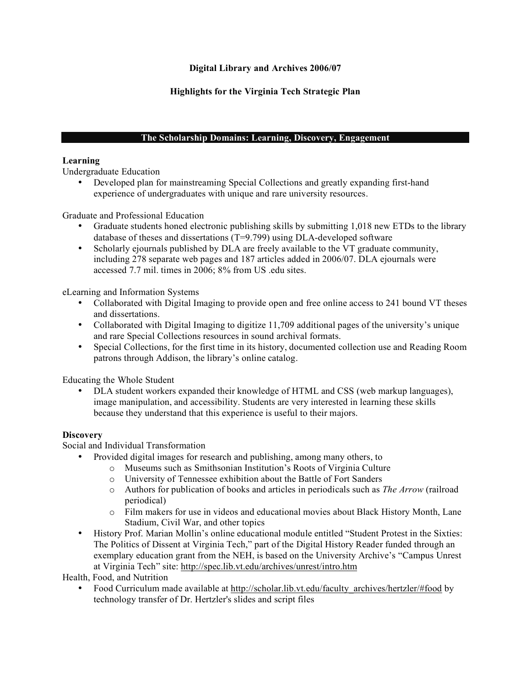# **Digital Library and Archives 2006/07**

# **Highlights for the Virginia Tech Strategic Plan**

# **The Scholarship Domains: Learning, Discovery, Engagement**

# **Learning**

Undergraduate Education

• Developed plan for mainstreaming Special Collections and greatly expanding first-hand experience of undergraduates with unique and rare university resources.

Graduate and Professional Education

- Graduate students honed electronic publishing skills by submitting 1,018 new ETDs to the library database of theses and dissertations (T=9.799) using DLA-developed software
- Scholarly ejournals published by DLA are freely available to the VT graduate community, including 278 separate web pages and 187 articles added in 2006/07. DLA ejournals were accessed 7.7 mil. times in 2006; 8% from US .edu sites.

eLearning and Information Systems

- Collaborated with Digital Imaging to provide open and free online access to 241 bound VT theses and dissertations.
- Collaborated with Digital Imaging to digitize 11,709 additional pages of the university's unique and rare Special Collections resources in sound archival formats.
- Special Collections, for the first time in its history, documented collection use and Reading Room patrons through Addison, the library's online catalog.

Educating the Whole Student

• DLA student workers expanded their knowledge of HTML and CSS (web markup languages), image manipulation, and accessibility. Students are very interested in learning these skills because they understand that this experience is useful to their majors.

# **Discovery**

Social and Individual Transformation

- Provided digital images for research and publishing, among many others, to
	- o Museums such as Smithsonian Institution's Roots of Virginia Culture
		- o University of Tennessee exhibition about the Battle of Fort Sanders
		- o Authors for publication of books and articles in periodicals such as *The Arrow* (railroad periodical)
	- o Film makers for use in videos and educational movies about Black History Month, Lane Stadium, Civil War, and other topics
- History Prof. Marian Mollin's online educational module entitled "Student Protest in the Sixties: The Politics of Dissent at Virginia Tech," part of the Digital History Reader funded through an exemplary education grant from the NEH, is based on the University Archive's "Campus Unrest at Virginia Tech" site: http://spec.lib.vt.edu/archives/unrest/intro.htm

Health, Food, and Nutrition

• Food Curriculum made available at http://scholar.lib.vt.edu/faculty\_archives/hertzler/#food by technology transfer of Dr. Hertzler's slides and script files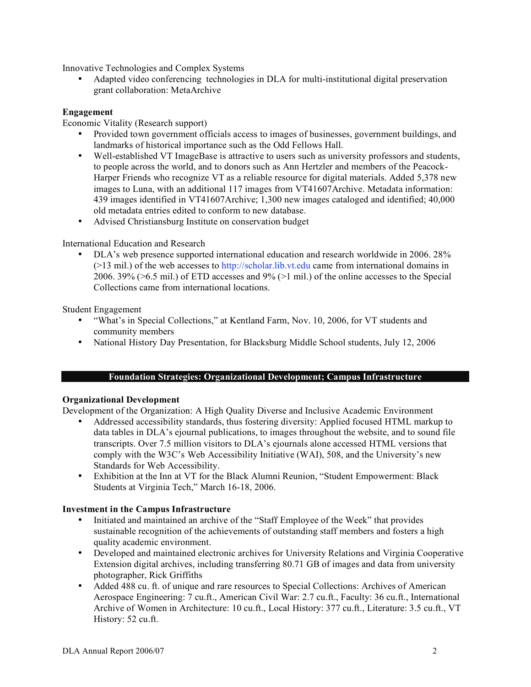Innovative Technologies and Complex Systems

• Adapted video conferencing technologies in DLA for multi-institutional digital preservation grant collaboration: MetaArchive

### **Engagement**

Economic Vitality (Research support)

- Provided town government officials access to images of businesses, government buildings, and landmarks of historical importance such as the Odd Fellows Hall.
- Well-established VT ImageBase is attractive to users such as university professors and students, to people across the world, and to donors such as Ann Hertzler and members of the Peacock-Harper Friends who recognize VT as a reliable resource for digital materials. Added 5,378 new images to Luna, with an additional 117 images from VT41607Archive. Metadata information: 439 images identified in VT41607Archive; 1,300 new images cataloged and identified; 40,000 old metadata entries edited to conform to new database.
- Advised Christiansburg Institute on conservation budget

#### International Education and Research

• DLA's web presence supported international education and research worldwide in 2006. 28% (>13 mil.) of the web accesses to http://scholar.lib.vt.edu came from international domains in 2006. 39% ( $>6.5$  mil.) of ETD accesses and 9% ( $>1$  mil.) of the online accesses to the Special Collections came from international locations.

Student Engagement

- "What's in Special Collections," at Kentland Farm, Nov. 10, 2006, for VT students and community members
- National History Day Presentation, for Blacksburg Middle School students, July 12, 2006

#### **Foundation Strategies: Organizational Development; Campus Infrastructure**

#### **Organizational Development**

Development of the Organization: A High Quality Diverse and Inclusive Academic Environment

- Addressed accessibility standards, thus fostering diversity: Applied focused HTML markup to data tables in DLA's ejournal publications, to images throughout the website, and to sound file transcripts. Over 7.5 million visitors to DLA's ejournals alone accessed HTML versions that comply with the W3C's Web Accessibility Initiative (WAI), 508, and the University's new Standards for Web Accessibility.
- Exhibition at the Inn at VT for the Black Alumni Reunion, "Student Empowerment: Black Students at Virginia Tech," March 16-18, 2006.

# **Investment in the Campus Infrastructure**

- Initiated and maintained an archive of the "Staff Employee of the Week" that provides sustainable recognition of the achievements of outstanding staff members and fosters a high quality academic environment.
- Developed and maintained electronic archives for University Relations and Virginia Cooperative Extension digital archives, including transferring 80.71 GB of images and data from university photographer, Rick Griffiths
- Added 488 cu. ft. of unique and rare resources to Special Collections: Archives of American Aerospace Engineering: 7 cu.ft., American Civil War: 2.7 cu.ft., Faculty: 36 cu.ft., International Archive of Women in Architecture: 10 cu.ft., Local History: 377 cu.ft., Literature: 3.5 cu.ft., VT History: 52 cu.ft.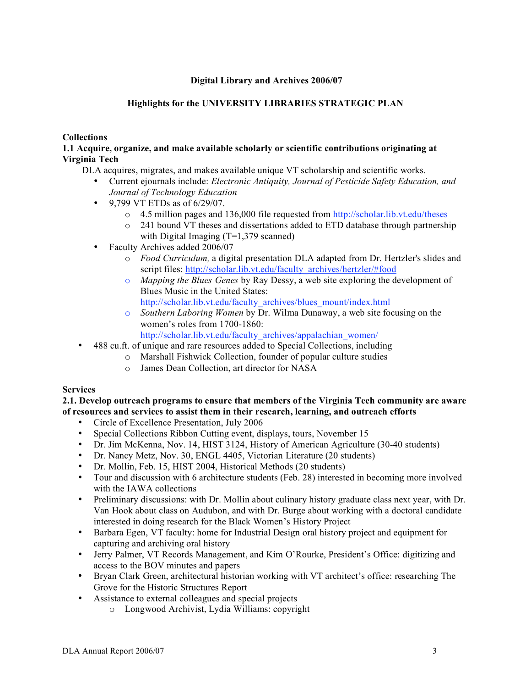# **Digital Library and Archives 2006/07**

# **Highlights for the UNIVERSITY LIBRARIES STRATEGIC PLAN**

### **Collections**

# **1.1 Acquire, organize, and make available scholarly or scientific contributions originating at Virginia Tech**

DLA acquires, migrates, and makes available unique VT scholarship and scientific works.

- Current ejournals include: *Electronic Antiquity, Journal of Pesticide Safety Education, and Journal of Technology Education*
- 9,799 VT ETDs as of 6/29/07.
	- o 4.5 million pages and 136,000 file requested from http://scholar.lib.vt.edu/theses
	- $\circ$  241 bound VT theses and dissertations added to ETD database through partnership with Digital Imaging (T=1,379 scanned)
- Faculty Archives added 2006/07
	- o *Food Curriculum,* a digital presentation DLA adapted from Dr. Hertzler's slides and script files: http://scholar.lib.vt.edu/faculty\_archives/hertzler/#food
	- o *Mapping the Blues Genes* by Ray Dessy, a web site exploring the development of Blues Music in the United States: http://scholar.lib.vt.edu/faculty\_archives/blues\_mount/index.html
	- o *Southern Laboring Women* by Dr. Wilma Dunaway, a web site focusing on the women's roles from 1700-1860: http://scholar.lib.vt.edu/faculty\_archives/appalachian\_women/
- 488 cu.ft. of unique and rare resources added to Special Collections, including
	- o Marshall Fishwick Collection, founder of popular culture studies
		- o James Dean Collection, art director for NASA

# **Services**

**2.1. Develop outreach programs to ensure that members of the Virginia Tech community are aware of resources and services to assist them in their research, learning, and outreach efforts**

- Circle of Excellence Presentation, July 2006
- Special Collections Ribbon Cutting event, displays, tours, November 15
- Dr. Jim McKenna, Nov. 14, HIST 3124, History of American Agriculture (30-40 students)
- Dr. Nancy Metz, Nov. 30, ENGL 4405, Victorian Literature (20 students)
- Dr. Mollin, Feb. 15, HIST 2004, Historical Methods (20 students)<br>• Tour and discussion with 6 architecture students (Feb. 28) intereste
- Tour and discussion with 6 architecture students (Feb. 28) interested in becoming more involved with the IAWA collections
- Preliminary discussions: with Dr. Mollin about culinary history graduate class next year, with Dr. Van Hook about class on Audubon, and with Dr. Burge about working with a doctoral candidate interested in doing research for the Black Women's History Project
- Barbara Egen, VT faculty: home for Industrial Design oral history project and equipment for capturing and archiving oral history
- Jerry Palmer, VT Records Management, and Kim O'Rourke, President's Office: digitizing and access to the BOV minutes and papers
- Bryan Clark Green, architectural historian working with VT architect's office: researching The Grove for the Historic Structures Report
- Assistance to external colleagues and special projects
	- o Longwood Archivist, Lydia Williams: copyright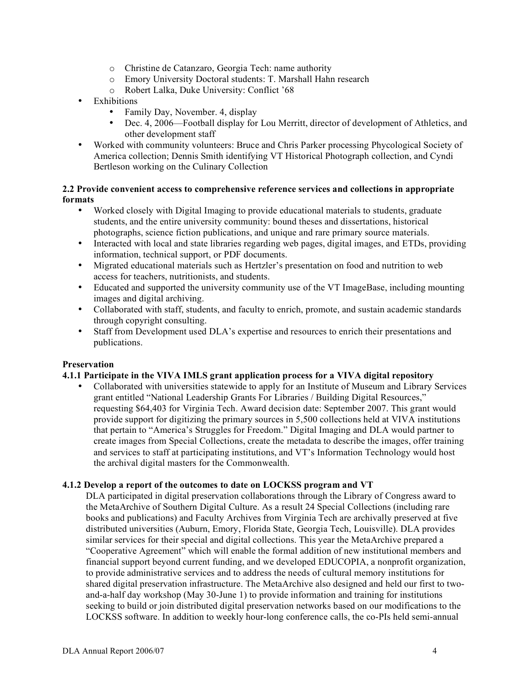- o Christine de Catanzaro, Georgia Tech: name authority
- o Emory University Doctoral students: T. Marshall Hahn research
- o Robert Lalka, Duke University: Conflict '68
- **Exhibitions** 
	- Family Day, November. 4, display<br>• Dec. 4, 2006—Football display for
	- Dec. 4, 2006—Football display for Lou Merritt, director of development of Athletics, and other development staff
- Worked with community volunteers: Bruce and Chris Parker processing Phycological Society of America collection; Dennis Smith identifying VT Historical Photograph collection, and Cyndi Bertleson working on the Culinary Collection

# **2.2 Provide convenient access to comprehensive reference services and collections in appropriate formats**

- Worked closely with Digital Imaging to provide educational materials to students, graduate students, and the entire university community: bound theses and dissertations, historical photographs, science fiction publications, and unique and rare primary source materials.
- Interacted with local and state libraries regarding web pages, digital images, and ETDs, providing information, technical support, or PDF documents.
- Migrated educational materials such as Hertzler's presentation on food and nutrition to web access for teachers, nutritionists, and students.
- Educated and supported the university community use of the VT ImageBase, including mounting images and digital archiving.
- Collaborated with staff, students, and faculty to enrich, promote, and sustain academic standards through copyright consulting.
- Staff from Development used DLA's expertise and resources to enrich their presentations and publications.

# **Preservation**

# **4.1.1 Participate in the VIVA IMLS grant application process for a VIVA digital repository**

• Collaborated with universities statewide to apply for an Institute of Museum and Library Services grant entitled "National Leadership Grants For Libraries / Building Digital Resources," requesting \$64,403 for Virginia Tech. Award decision date: September 2007. This grant would provide support for digitizing the primary sources in 5,500 collections held at VIVA institutions that pertain to "America's Struggles for Freedom." Digital Imaging and DLA would partner to create images from Special Collections, create the metadata to describe the images, offer training and services to staff at participating institutions, and VT's Information Technology would host the archival digital masters for the Commonwealth.

# **4.1.2 Develop a report of the outcomes to date on LOCKSS program and VT**

DLA participated in digital preservation collaborations through the Library of Congress award to the MetaArchive of Southern Digital Culture. As a result 24 Special Collections (including rare books and publications) and Faculty Archives from Virginia Tech are archivally preserved at five distributed universities (Auburn, Emory, Florida State, Georgia Tech, Louisville). DLA provides similar services for their special and digital collections. This year the MetaArchive prepared a "Cooperative Agreement" which will enable the formal addition of new institutional members and financial support beyond current funding, and we developed EDUCOPIA, a nonprofit organization, to provide administrative services and to address the needs of cultural memory institutions for shared digital preservation infrastructure. The MetaArchive also designed and held our first to twoand-a-half day workshop (May 30-June 1) to provide information and training for institutions seeking to build or join distributed digital preservation networks based on our modifications to the LOCKSS software. In addition to weekly hour-long conference calls, the co-PIs held semi-annual